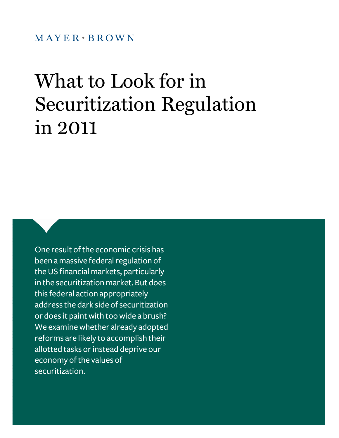## $MAYER*BROWN$

# What to Look for in Securitization Regulation in 2011

One result of the economic crisis has been a massive federal regulation of the US financial markets, particularly in the securitization market. But does this federal action appropriately address the dark side of securitization or does it paint with too wide a brush? We examine whether already adopted reforms are likely to accomplish their allotted tasks or instead deprive our economy of the values of securitization.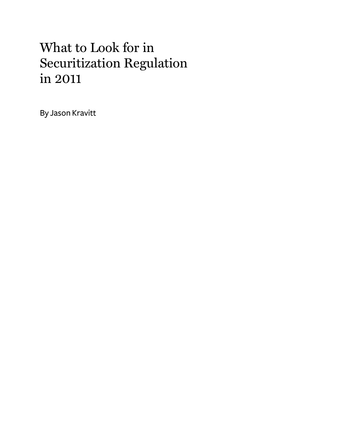# What to Look for in Securitization Regulation in 2011

By Jason Kravitt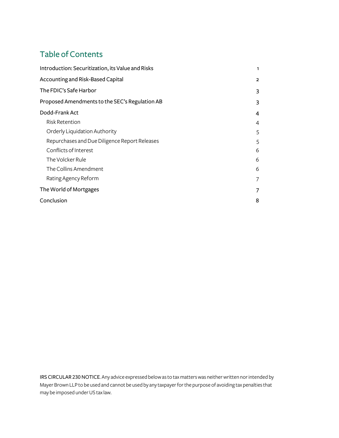## Table of Contents

| Accounting and Risk-Based Capital<br>$\overline{2}$<br>The FDIC's Safe Harbor<br>3<br>Proposed Amendments to the SEC's Regulation AB<br>3<br>Dodd-Frank Act<br>4<br>Risk Retention<br>4<br>Orderly Liquidation Authority<br>5<br>Repurchases and Due Diligence Report Releases<br>5<br>Conflicts of Interest<br>6<br>The Volcker Rule<br>6<br>The Collins Amendment<br>6<br>Rating Agency Reform<br>7<br>The World of Mortgages<br>7 | Introduction: Securitization, its Value and Risks | 1 |
|--------------------------------------------------------------------------------------------------------------------------------------------------------------------------------------------------------------------------------------------------------------------------------------------------------------------------------------------------------------------------------------------------------------------------------------|---------------------------------------------------|---|
|                                                                                                                                                                                                                                                                                                                                                                                                                                      |                                                   |   |
|                                                                                                                                                                                                                                                                                                                                                                                                                                      |                                                   |   |
|                                                                                                                                                                                                                                                                                                                                                                                                                                      |                                                   |   |
|                                                                                                                                                                                                                                                                                                                                                                                                                                      |                                                   |   |
|                                                                                                                                                                                                                                                                                                                                                                                                                                      |                                                   |   |
|                                                                                                                                                                                                                                                                                                                                                                                                                                      |                                                   |   |
|                                                                                                                                                                                                                                                                                                                                                                                                                                      |                                                   |   |
|                                                                                                                                                                                                                                                                                                                                                                                                                                      |                                                   |   |
|                                                                                                                                                                                                                                                                                                                                                                                                                                      |                                                   |   |
|                                                                                                                                                                                                                                                                                                                                                                                                                                      |                                                   |   |
|                                                                                                                                                                                                                                                                                                                                                                                                                                      |                                                   |   |
|                                                                                                                                                                                                                                                                                                                                                                                                                                      |                                                   |   |
| 8                                                                                                                                                                                                                                                                                                                                                                                                                                    | Conclusion                                        |   |

IRS CIRCULAR 230 NOTICE. Any advice expressed below as to tax matters was neither written nor intended by Mayer Brown LLP to be used and cannot be used by any taxpayer for the purpose of avoiding tax penalties that may be imposed under US tax law.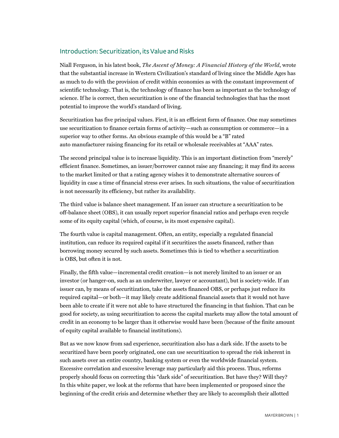#### Introduction: Securitization, its Value and Risks

Niall Ferguson, in his latest book, *The Ascent of Money: A Financial History of the World*, wrote that the substantial increase in Western Civilization's standard of living since the Middle Ages has as much to do with the provision of credit within economies as with the constant improvement of scientific technology. That is, the technology of finance has been as important as the technology of science. If he is correct, then securitization is one of the financial technologies that has the most potential to improve the world's standard of living.

Securitization has five principal values. First, it is an efficient form of finance. One may sometimes use securitization to finance certain forms of activity—such as consumption or commerce—in a superior way to other forms. An obvious example of this would be a "B" rated auto manufacturer raising financing for its retail or wholesale receivables at "AAA" rates.

The second principal value is to increase liquidity. This is an important distinction from "merely" efficient finance. Sometimes, an issuer/borrower cannot raise any financing; it may find its access to the market limited or that a rating agency wishes it to demonstrate alternative sources of liquidity in case a time of financial stress ever arises. In such situations, the value of securitization is not necessarily its efficiency, but rather its availability.

The third value is balance sheet management. If an issuer can structure a securitization to be off-balance sheet (OBS), it can usually report superior financial ratios and perhaps even recycle some of its equity capital (which, of course, is its most expensive capital).

The fourth value is capital management. Often, an entity, especially a regulated financial institution, can reduce its required capital if it securitizes the assets financed, rather than borrowing money secured by such assets. Sometimes this is tied to whether a securitization is OBS, but often it is not.

Finally, the fifth value—incremental credit creation—is not merely limited to an issuer or an investor (or hanger-on, such as an underwriter, lawyer or accountant), but is society-wide. If an issuer can, by means of securitization, take the assets financed OBS, or perhaps just reduce its required capital—or both—it may likely create additional financial assets that it would not have been able to create if it were not able to have structured the financing in that fashion. That can be good for society, as using securitization to access the capital markets may allow the total amount of credit in an economy to be larger than it otherwise would have been (because of the finite amount of equity capital available to financial institutions).

But as we now know from sad experience, securitization also has a dark side. If the assets to be securitized have been poorly originated, one can use securitization to spread the risk inherent in such assets over an entire country, banking system or even the worldwide financial system. Excessive correlation and excessive leverage may particularly aid this process. Thus, reforms properly should focus on correcting this "dark side" of securitization. But have they? Will they? In this white paper, we look at the reforms that have been implemented or proposed since the beginning of the credit crisis and determine whether they are likely to accomplish their allotted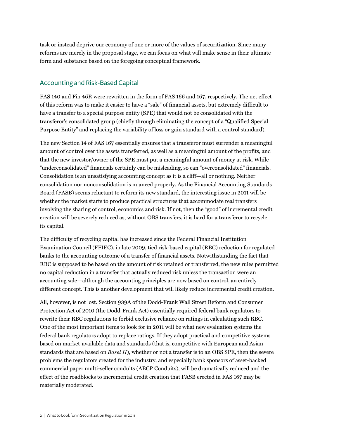task or instead deprive our economy of one or more of the values of securitization. Since many reforms are merely in the proposal stage, we can focus on what will make sense in their ultimate form and substance based on the foregoing conceptual framework.

#### Accounting and Risk-Based Capital

FAS 140 and Fin 46R were rewritten in the form of FAS 166 and 167, respectively. The net effect of this reform was to make it easier to have a "sale" of financial assets, but extremely difficult to have a transfer to a special purpose entity (SPE) that would not be consolidated with the transferor's consolidated group (chiefly through eliminating the concept of a "Qualified Special Purpose Entity" and replacing the variability of loss or gain standard with a control standard).

The new Section 14 of FAS 167 essentially ensures that a transferor must surrender a meaningful amount of control over the assets transferred, as well as a meaningful amount of the profits, and that the new investor/owner of the SPE must put a meaningful amount of money at risk. While "underconsolidated" financials certainly can be misleading, so can "overconsolidated" financials. Consolidation is an unsatisfying accounting concept as it is a cliff—all or nothing. Neither consolidation nor nonconsolidation is nuanced properly. As the Financial Accounting Standards Board (FASB) seems reluctant to reform its new standard, the interesting issue in 2011 will be whether the market starts to produce practical structures that accommodate real transfers involving the sharing of control, economics and risk. If not, then the "good" of incremental credit creation will be severely reduced as, without OBS transfers, it is hard for a transferor to recycle its capital.

The difficulty of recycling capital has increased since the Federal Financial Institution Examination Council (FFIEC), in late 2009, tied risk-based capital (RBC) reduction for regulated banks to the accounting outcome of a transfer of financial assets. Notwithstanding the fact that RBC is supposed to be based on the amount of risk retained or transferred, the new rules permitted no capital reduction in a transfer that actually reduced risk unless the transaction were an accounting sale—although the accounting principles are now based on control, an entirely different concept. This is another development that will likely reduce incremental credit creation.

All, however, is not lost. Section 939A of the Dodd-Frank Wall Street Reform and Consumer Protection Act of 2010 (the Dodd-Frank Act) essentially required federal bank regulators to rewrite their RBC regulations to forbid exclusive reliance on ratings in calculating such RBC. One of the most important items to look for in 2011 will be what new evaluation systems the federal bank regulators adopt to replace ratings. If they adopt practical and competitive systems based on market-available data and standards (that is, competitive with European and Asian standards that are based on *Basel II*), whether or not a transfer is to an OBS SPE, then the severe problems the regulators created for the industry, and especially bank sponsors of asset-backed commercial paper multi-seller conduits (ABCP Conduits), will be dramatically reduced and the effect of the roadblocks to incremental credit creation that FASB erected in FAS 167 may be materially moderated.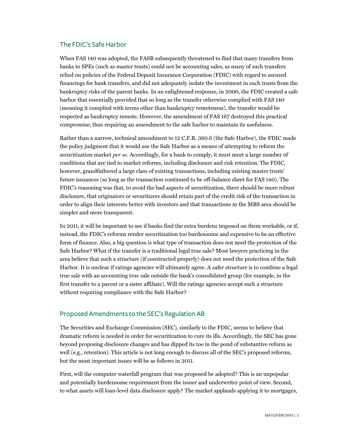#### The FDIC's Safe Harbor

When FAS 140 was adopted, the FASB subsequently threatened to find that many transfers from banks to SPEs (such as master trusts) could not be accounting sales, as many of such transfers relied on policies of the Federal Deposit Insurance Corporation (FDIC) with regard to secured financings for bank transfers, and did not adequately isolate the investment in such trusts from the bankruptcy risks of the parent banks. In an enlightened response, in 2000, the FDIC created a safe harbor that essentially provided that so long as the transfer otherwise complied with FAS 140 (meaning it complied with terms other than bankruptcy remoteness), the transfer would be respected as bankruptcy remote. However, the amendment of FAS 167 destroyed this practical compromise, thus requiring an amendment to the safe harbor to maintain its usefulness.

Rather than a narrow, technical amendment to 12 C.F.R. 360.6 (the Safe Harbor), the FDIC made the policy judgment that it would use the Safe Harbor as a means of attempting to reform the securitization market *per se*. Accordingly, for a bank to comply, it must meet a large number of conditions that are tied to market reforms, including disclosure and risk retention. The FDIC, however, grandfathered a large class of existing transactions, including existing master trusts' future issuances (so long as the transaction continued to be off-balance sheet for FAS 140). The FDIC's reasoning was that, to avoid the bad aspects of securitization, there should be more robust disclosure, that originators or securitizers should retain part of the credit risk of the transaction in order to align their interests better with investors and that transactions in the MBS area should be simpler and more transparent.

In 2011, it will be important to see if banks find the extra burdens imposed on them workable, or if, instead, the FDIC's reforms render securitization too burdensome and expensive to be an effective form of finance. Also, a big question is what type of transaction does not need the protection of the Safe Harbor? What if the transfer is a traditional legal true sale? Most lawyers practicing in the area believe that such a structure (if constructed properly) does not need the protection of the Safe Harbor. It is unclear if ratings agencies will ultimately agree. A safer structure is to combine a legal true sale with an accounting true sale outside the bank's consolidated group (for example, in the first transfer to a parent or a sister affiliate). Will the ratings agencies accept such a structure without requiring compliance with the Safe Harbor?

#### Proposed Amendments to the SEC's Regulation AB

The Securities and Exchange Commission (SEC), similarly to the FDIC, seems to believe that dramatic reform is needed in order for securitization to cure its ills. Accordingly, the SEC has gone beyond proposing disclosure changes and has dipped its toe in the pond of substantive reform as well (e.g., retention). This article is not long enough to discuss all of the SEC's proposed reforms, but the most important issues will be as follows in 2011.

First, will the computer waterfall program that was proposed be adopted? This is an unpopular and potentially burdensome requirement from the issuer and underwriter point of view. Second, to what assets will loan-level data disclosure apply? The market applauds applying it to mortgages,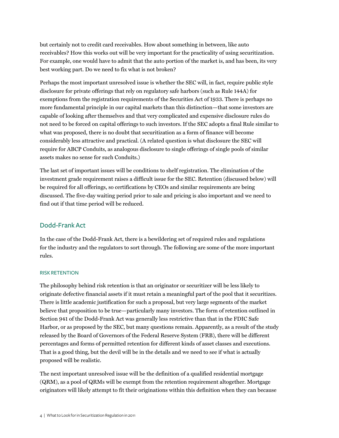but certainly not to credit card receivables. How about something in between, like auto receivables? How this works out will be very important for the practicality of using securitization. For example, one would have to admit that the auto portion of the market is, and has been, its very best working part. Do we need to fix what is not broken?

Perhaps the most important unresolved issue is whether the SEC will, in fact, require public style disclosure for private offerings that rely on regulatory safe harbors (such as Rule 144A) for exemptions from the registration requirements of the Securities Act of 1933. There is perhaps no more fundamental principle in our capital markets than this distinction—that some investors are capable of looking after themselves and that very complicated and expensive disclosure rules do not need to be forced on capital offerings to such investors. If the SEC adopts a final Rule similar to what was proposed, there is no doubt that securitization as a form of finance will become considerably less attractive and practical. (A related question is what disclosure the SEC will require for ABCP Conduits, as analogous disclosure to single offerings of single pools of similar assets makes no sense for such Conduits.)

The last set of important issues will be conditions to shelf registration. The elimination of the investment grade requirement raises a difficult issue for the SEC. Retention (discussed below) will be required for all offerings, so certifications by CEOs and similar requirements are being discussed. The five-day waiting period prior to sale and pricing is also important and we need to find out if that time period will be reduced.

#### Dodd-Frank Act

In the case of the Dodd-Frank Act, there is a bewildering set of required rules and regulations for the industry and the regulators to sort through. The following are some of the more important rules.

#### RISK RETENTION

The philosophy behind risk retention is that an originator or securitizer will be less likely to originate defective financial assets if it must retain a meaningful part of the pool that it securitizes. There is little academic justification for such a proposal, but very large segments of the market believe that proposition to be true—particularly many investors. The form of retention outlined in Section 941 of the Dodd-Frank Act was generally less restrictive than that in the FDIC Safe Harbor, or as proposed by the SEC, but many questions remain. Apparently, as a result of the study released by the Board of Governors of the Federal Reserve System (FRB), there will be different percentages and forms of permitted retention for different kinds of asset classes and executions. That is a good thing, but the devil will be in the details and we need to see if what is actually proposed will be realistic.

The next important unresolved issue will be the definition of a qualified residential mortgage (QRM), as a pool of QRMs will be exempt from the retention requirement altogether. Mortgage originators will likely attempt to fit their originations within this definition when they can because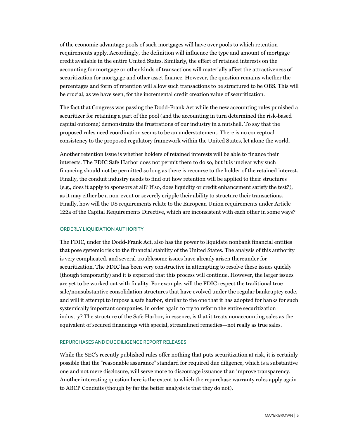of the economic advantage pools of such mortgages will have over pools to which retention requirements apply. Accordingly, the definition will influence the type and amount of mortgage credit available in the entire United States. Similarly, the effect of retained interests on the accounting for mortgage or other kinds of transactions will materially affect the attractiveness of securitization for mortgage and other asset finance. However, the question remains whether the percentages and form of retention will allow such transactions to be structured to be OBS. This will be crucial, as we have seen, for the incremental credit creation value of securitization.

The fact that Congress was passing the Dodd-Frank Act while the new accounting rules punished a securitizer for retaining a part of the pool (and the accounting in turn determined the risk-based capital outcome) demonstrates the frustrations of our industry in a nutshell. To say that the proposed rules need coordination seems to be an understatement. There is no conceptual consistency to the proposed regulatory framework within the United States, let alone the world.

Another retention issue is whether holders of retained interests will be able to finance their interests. The FDIC Safe Harbor does not permit them to do so, but it is unclear why such financing should not be permitted so long as there is recourse to the holder of the retained interest. Finally, the conduit industry needs to find out how retention will be applied to their structures (e.g., does it apply to sponsors at all? If so, does liquidity or credit enhancement satisfy the test?), as it may either be a non-event or severely cripple their ability to structure their transactions. Finally, how will the US requirements relate to the European Union requirements under Article 122a of the Capital Requirements Directive, which are inconsistent with each other in some ways?

#### ORDERLY LIQUIDATION AUTHORITY

The FDIC, under the Dodd-Frank Act, also has the power to liquidate nonbank financial entities that pose systemic risk to the financial stability of the United States. The analysis of this authority is very complicated, and several troublesome issues have already arisen thereunder for securitization. The FDIC has been very constructive in attempting to resolve these issues quickly (though temporarily) and it is expected that this process will continue. However, the larger issues are yet to be worked out with finality. For example, will the FDIC respect the traditional true sale/nonsubstantive consolidation structures that have evolved under the regular bankruptcy code, and will it attempt to impose a safe harbor, similar to the one that it has adopted for banks for such systemically important companies, in order again to try to reform the entire securitization industry? The structure of the Safe Harbor, in essence, is that it treats nonaccounting sales as the equivalent of secured financings with special, streamlined remedies—not really as true sales.

#### REPURCHASES AND DUE DILIGENCE REPORT RELEASES

While the SEC's recently published rules offer nothing that puts securitization at risk, it is certainly possible that the "reasonable assurance" standard for required due diligence, which is a substantive one and not mere disclosure, will serve more to discourage issuance than improve transparency. Another interesting question here is the extent to which the repurchase warranty rules apply again to ABCP Conduits (though by far the better analysis is that they do not).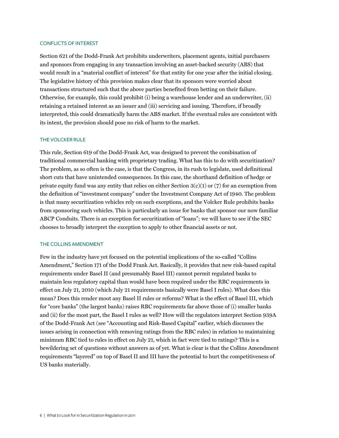#### CONFLICTS OF INTEREST

Section 621 of the Dodd-Frank Act prohibits underwriters, placement agents, initial purchasers and sponsors from engaging in any transaction involving an asset-backed security (ABS) that would result in a "material conflict of interest" for that entity for one year after the initial closing. The legislative history of this provision makes clear that its sponsors were worried about transactions structured such that the above parties benefited from betting on their failure. Otherwise, for example, this could prohibit (i) being a warehouse lender and an underwriter, (ii) retaining a retained interest as an issuer and (iii) servicing and issuing. Therefore, if broadly interpreted, this could dramatically harm the ABS market. If the eventual rules are consistent with its intent, the provision should pose no risk of harm to the market.

#### THE VOLCKER RULE

This rule, Section 619 of the Dodd-Frank Act, was designed to prevent the combination of traditional commercial banking with proprietary trading. What has this to do with securitization? The problem, as so often is the case, is that the Congress, in its rush to legislate, used definitional short cuts that have unintended consequences. In this case, the shorthand definition of hedge or private equity fund was any entity that relies on either Section  $3(c)(1)$  or (7) for an exemption from the definition of "investment company" under the Investment Company Act of 1940. The problem is that many securitization vehicles rely on such exceptions, and the Volcker Rule prohibits banks from sponsoring such vehicles. This is particularly an issue for banks that sponsor our now familiar ABCP Conduits. There is an exception for securitization of "loans"; we will have to see if the SEC chooses to broadly interpret the exception to apply to other financial assets or not.

#### THE COLLINS AMENDMENT

Few in the industry have yet focused on the potential implications of the so-called "Collins Amendment," Section 171 of the Dodd Frank Act. Basically, it provides that new risk-based capital requirements under Basel II (and presumably Basel III) cannot permit regulated banks to maintain less regulatory capital than would have been required under the RBC requirements in effect on July 21, 2010 (which July 21 requirements basically were Basel I rules). What does this mean? Does this render moot any Basel II rules or reforms? What is the effect of Basel III, which for "core banks" (the largest banks) raises RBC requirements far above those of (i) smaller banks and (ii) for the most part, the Basel I rules as well? How will the regulators interpret Section 939A of the Dodd-Frank Act (see "Accounting and Risk-Based Capital" earlier, which discusses the issues arising in connection with removing ratings from the RBC rules) in relation to maintaining minimum RBC tied to rules in effect on July 21, which in fact were tied to ratings? This is a bewildering set of questions without answers as of yet. What is clear is that the Collins Amendment requirements "layered" on top of Basel II and III have the potential to hurt the competitiveness of US banks materially.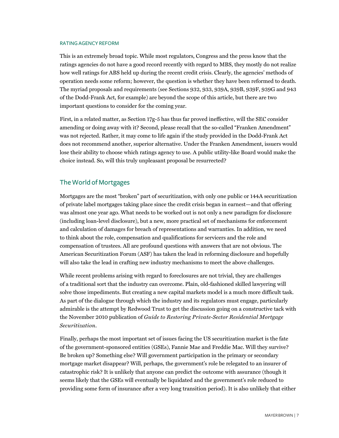#### RATING AGENCY REFORM

This is an extremely broad topic. While most regulators, Congress and the press know that the ratings agencies do not have a good record recently with regard to MBS, they mostly do not realize how well ratings for ABS held up during the recent credit crisis. Clearly, the agencies' methods of operation needs some reform; however, the question is whether they have been reformed to death. The myriad proposals and requirements (see Sections 932, 933, 939A, 939B, 939F, 939G and 943 of the Dodd-Frank Act, for example) are beyond the scope of this article, but there are two important questions to consider for the coming year.

First, in a related matter, as Section 17g-5 has thus far proved ineffective, will the SEC consider amending or doing away with it? Second, please recall that the so-called "Franken Amendment" was not rejected. Rather, it may come to life again if the study provided in the Dodd-Frank Act does not recommend another, superior alternative. Under the Franken Amendment, issuers would lose their ability to choose which ratings agency to use. A public utility-like Board would make the choice instead. So, will this truly unpleasant proposal be resurrected?

#### The World of Mortgages

Mortgages are the most "broken" part of securitization, with only one public or 144A securitization of private label mortgages taking place since the credit crisis began in earnest—and that offering was almost one year ago. What needs to be worked out is not only a new paradigm for disclosure (including loan-level disclosure), but a new, more practical set of mechanisms for enforcement and calculation of damages for breach of representations and warranties. In addition, we need to think about the role, compensation and qualifications for servicers and the role and compensation of trustees. All are profound questions with answers that are not obvious. The American Securitization Forum (ASF) has taken the lead in reforming disclosure and hopefully will also take the lead in crafting new industry mechanisms to meet the above challenges.

While recent problems arising with regard to foreclosures are not trivial, they are challenges of a traditional sort that the industry can overcome. Plain, old-fashioned skilled lawyering will solve those impediments. But creating a new capital markets model is a much more difficult task. As part of the dialogue through which the industry and its regulators must engage, particularly admirable is the attempt by Redwood Trust to get the discussion going on a constructive tack with the November 2010 publication of *Guide to Restoring Private-Sector Residential Mortgage Securitization*.

Finally, perhaps the most important set of issues facing the US securitization market is the fate of the government-sponsored entities (GSEs), Fannie Mae and Freddie Mac. Will they survive? Be broken up? Something else? Will government participation in the primary or secondary mortgage market disappear? Will, perhaps, the government's role be relegated to an insurer of catastrophic risk? It is unlikely that anyone can predict the outcome with assurance (though it seems likely that the GSEs will eventually be liquidated and the government's role reduced to providing some form of insurance after a very long transition period). It is also unlikely that either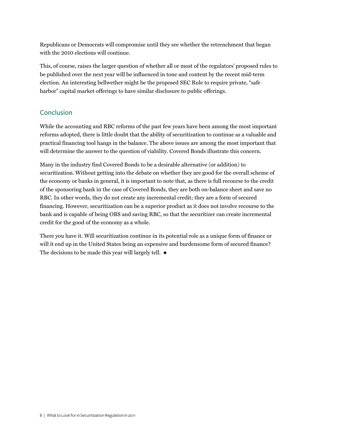Republicans or Democrats will compromise until they see whether the retrenchment that began with the 2010 elections will continue.

This, of course, raises the larger question of whether all or most of the regulators' proposed rules to be published over the next year will be influenced in tone and content by the recent mid-term election. An interesting bellwether might be the proposed SEC Rule to require private, "safe harbor" capital market offerings to have similar disclosure to public offerings.

#### Conclusion

While the accounting and RBC reforms of the past few years have been among the most important reforms adopted, there is little doubt that the ability of securitization to continue as a valuable and practical financing tool hangs in the balance. The above issues are among the most important that will determine the answer to the question of viability. Covered Bonds illustrate this concern.

Many in the industry find Covered Bonds to be a desirable alternative (or addition) to securitization. Without getting into the debate on whether they are good for the overall scheme of the economy or banks in general, it is important to note that, as there is full recourse to the credit of the sponsoring bank in the case of Covered Bonds, they are both on-balance sheet and save no RBC. In other words, they do not create any incremental credit; they are a form of secured financing. However, securitization can be a superior product as it does not involve recourse to the bank and is capable of being OBS and saving RBC, so that the securitizer can create incremental credit for the good of the economy as a whole.

There you have it. Will securitization continue in its potential role as a unique form of finance or will it end up in the United States being an expensive and burdensome form of secured finance? The decisions to be made this year will largely tell.  $\triangleleft$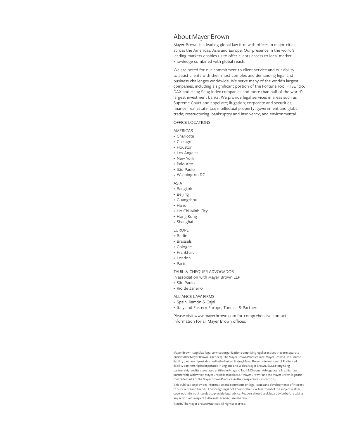#### About Mayer Brown

Mayer Brown is a leading global law firm with offices in major cities across the Americas, Asia and Europe. Our presence in the world's leading markets enables us to offer clients access to local market knowledge combined with global reach.

We are noted for our commitment to client service and our ability to assist clients with their most complex and demanding legal and business challenges worldwide. We serve many of the world's largest companies, including a significant portion of the Fortune 100, FTSE 100, DAX and Hang Seng Index companies and more than half of the world's largest investment banks. We provide legal services in areas such as Supreme Court and appellate; litigation; corporate and securities; finance; real estate; tax; intellectual property; government and global trade; restructuring, bankruptcy and insolvency; and environmental.

office locations

Americas

- Charlotte
- Chicago
- Houston
- Los Angeles
- New York
- Palo Alto
- São Paulo
- Washington DC

#### Asia

- Bangkok
- Beijing
- Guangzhou
- Hanoi
- Ho Chi Minh City
- Hong Kong
- Shanghai

**EUROPE** 

- Berlin
- Brussels
- Cologne
- Frankfurt
- London
- Paris
- Tauil & Chequer Advogados
- in association with Mayer Brown LLP
- São Paulo
- Rio de Janeiro

alliance law firms

- Spain, Ramón & Cajal
- Italy and Eastern Europe, Tonucci & Partners

Please visit www.mayerbrown.com for comprehensive contact information for all Mayer Brown offices.

Mayer Brown is a global legal services organization comprising legal practices that are separate entities (the Mayer Brown Practices). The Mayer Brown Practices are: Mayer Brown LLP, a limited liability partnership established in the United States; Mayer Brown International LLP, a limited liability partnership incorporated in England and Wales; Mayer Brown JSM, a Hong Kong partnership, and its associated entities in Asia; and Tauil & Chequer Advogados, a Brazilian law partnership with which Mayer Brown is associated. "Mayer Brown" and the Mayer Brown logo are the trademarks of the Mayer Brown Practices in their respective jurisdictions.

This publication provides information and comments on legal issues and developments of interest to our clients and friends. The foregoing is not a comprehensive treatment of the subject matter covered and is not intended to provide legal advice. Readers should seek legal advice before taking any action with respect to the matters discussed herein.

© 2011. The Mayer Brown Practices. All rights reserved.